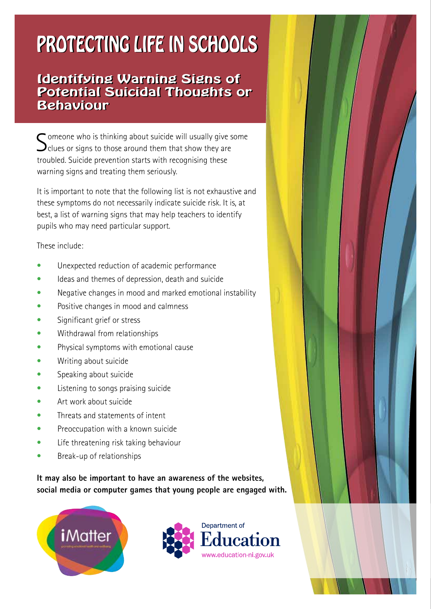## PROTECTING LIFE IN SCHOOLS PROTECTING LIFE IN SCHOOLS

#### Identifying Warning Signs of Identifying Warning Signs of Potential Suicidal Thoughts or Potential Suicidal Thoughts or Behaviour Behaviour

 $\bigcap$  omeone who is thinking about suicide will usually give some  $\bigcup$ clues or signs to those around them that show they are troubled. Suicide prevention starts with recognising these warning signs and treating them seriously.

It is important to note that the following list is not exhaustive and these symptoms do not necessarily indicate suicide risk. It is, at best, a list of warning signs that may help teachers to identify pupils who may need particular support.

These include:

- Unexpected reduction of academic performance
- Ideas and themes of depression, death and suicide
- Negative changes in mood and marked emotional instability
- Positive changes in mood and calmness
- Significant grief or stress
- Withdrawal from relationships
- Physical symptoms with emotional cause
- Writing about suicide
- Speaking about suicide
- Listening to songs praising suicide
- Art work about suicide
- Threats and statements of intent
- Preoccupation with a known suicide
- Life threatening risk taking behaviour
- Break-up of relationships

**It may also be important to have an awareness of the websites, social media or computer games that young people are engaged with.** 



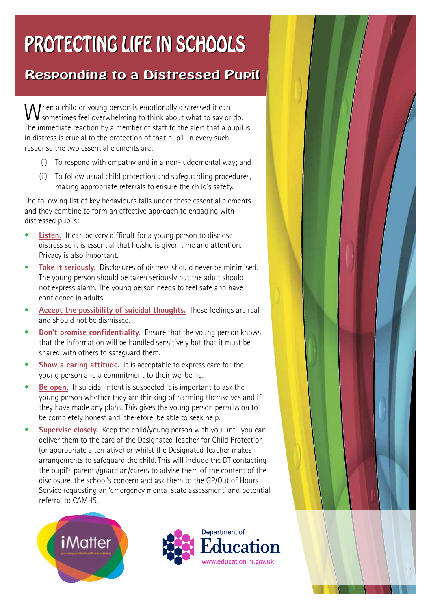## PROTECTING LIFE IN SCHOOLS PROTECTING LIFE IN SCHOOLS

### Responding to a Distressed Pupil Responding to a Distressed Pupil

When a child or young person is emotionally distressed it can<br>Sometimes feel overwhalm: sometimes feel overwhelming to think about what to say or do. The immediate reaction by a member of staff to the alert that a pupil is in distress is crucial to the protection of that pupil. In every such response the two essential elements are:

- (i) To respond with empathy and in a non-judgemental way; and
- (ii) To follow usual child protection and safeguarding procedures, making appropriate referrals to ensure the child's safety.

The following list of key behaviours falls under these essential elements and they combine to form an effective approach to engaging with distressed pupils:

- **Listen.** It can be very difficult for a young person to disclose distress so it is essential that he/she is given time and attention. Privacy is also important.
- **Take it seriously.** Disclosures of distress should never be minimised. The young person should be taken seriously but the adult should not express alarm. The young person needs to feel safe and have confidence in adults.
- **Accept the possibility of suicidal thoughts.** These feelings are real and should not be dismissed.
- **Don't promise confidentiality.** Ensure that the young person knows that the information will be handled sensitively but that it must be shared with others to safeguard them.
- **Show a caring attitude.** It is acceptable to express care for the young person and a commitment to their wellbeing.
- **Be open.** If suicidal intent is suspected it is important to ask the young person whether they are thinking of harming themselves and if they have made any plans. This gives the young person permission to be completely honest and, therefore, be able to seek help.
- **Supervise closely.** Keep the child/young person with you until you can deliver them to the care of the Designated Teacher for Child Protection (or appropriate alternative) or whilst the Designated Teacher makes arrangements to safeguard the child. This will include the DT contacting the pupil's parents/guardian/carers to advise them of the content of the disclosure, the school's concern and ask them to the GP/Out of Hours Service requesting an 'emergency mental state assessment' and potential referral to CAMHS.